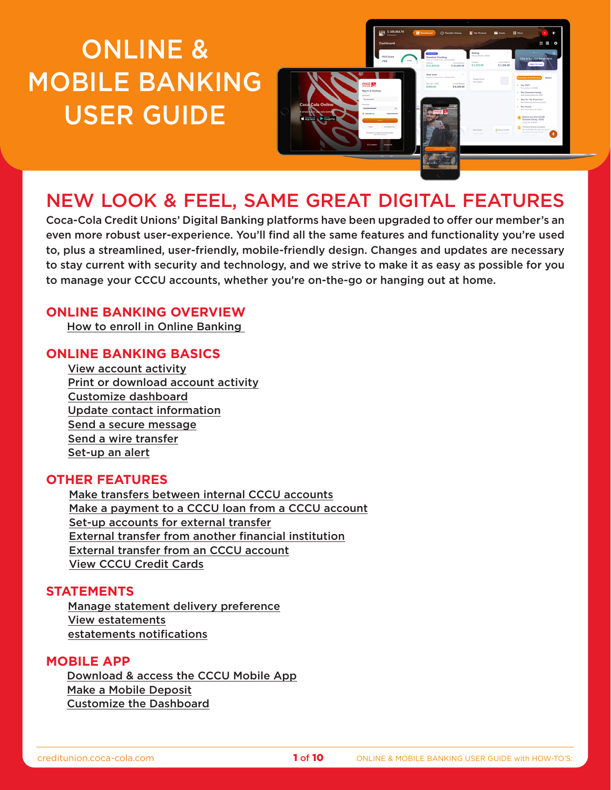# <span id="page-0-0"></span>ONLINE & MOBILE BANKING USER GUIDE



# NEW LOOK & FEEL, SAME GREAT DIGITAL FEATURES

Coca-Cola Credit Unions' Digital Banking platforms have been upgraded to offer our member's an even more robust user-experience. You'll find all the same features and functionality you're used to, plus a streamlined, user-friendly, mobile-friendly design. Changes and updates are necessary to stay current with security and technology, and we strive to make it as easy as possible for you to manage your CCCU accounts, whether you're on-the-go or hanging out at home.

# **ONLINE BANKING OVERVIEW**

[How to enroll in Online Banking](#page-1-0) 

# **ONLINE BANKING BASICS**

[View account activity](#page-2-0) [Print or download account activity](#page-2-0) [Customize dashboard](#page-2-0) [Update contact information](#page-2-0) [Send a secure message](#page-3-0) [Send a wire transfer](#page-3-0) [Set-up an alert](#page-4-0)

# **OTHER FEATURES**

[Make transfers between internal CCCU accounts](#page-4-0) [Make a payment to a CCCU loan from a CCCU account](#page-4-0) [Set-up accounts for external transfer](#page-5-0) [External transfer from another financial institution](#page-5-0) [External transfer from an CCCU account](#page-6-0) [View CCCU Credit Cards](#page-6-0)

# **STATEMENTS**

[Manage statement delivery preference](#page-7-0) [View estatements](#page-7-0) [estatements notifications](#page-7-0)

# **MOBILE APP**

[Download & access the CCCU Mobile App](#page-8-0) [Make a Mobile Deposit](#page-8-0) [Customize the Dashboard](#page-9-0)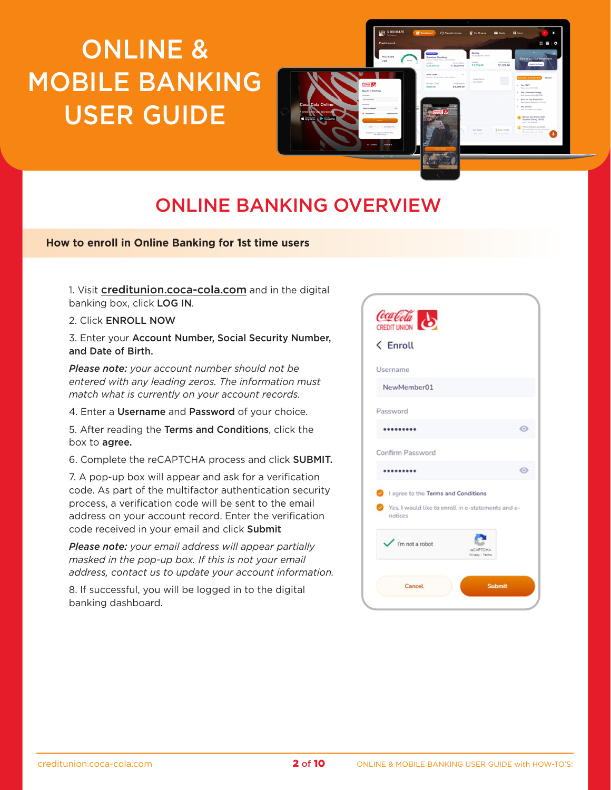# <span id="page-1-0"></span>ONLINE & MOBILE BANKING USER GUIDE



# ONLINE BANKING OVERVIEW

### **How to enroll in Online Banking for 1st time users**

1. Visit [creditunion.coca-cola.com](http://creditunion.coca-cola.com) and in the digital banking box, click LOG IN.

2. Click ENROLL NOW

3. Enter your Account Number, Social Security Number, and Date of Birth.

*Please note: your account number should not be entered with any leading zeros. The information must match what is currently on your account records.*

4. Enter a Username and Password of your choice.

5. After reading the Terms and Conditions, click the box to agree.

6. Complete the reCAPTCHA process and click SUBMIT.

7. A pop-up box will appear and ask for a verification code. As part of the multifactor authentication security process, a verification code will be sent to the email address on your account record. Enter the verification code received in your email and click Submit

*Please note: your email address will appear partially masked in the pop-up box. If this is not your email address, contact us to update your account information.*

8. If successful, you will be logged in to the digital banking dashboard.

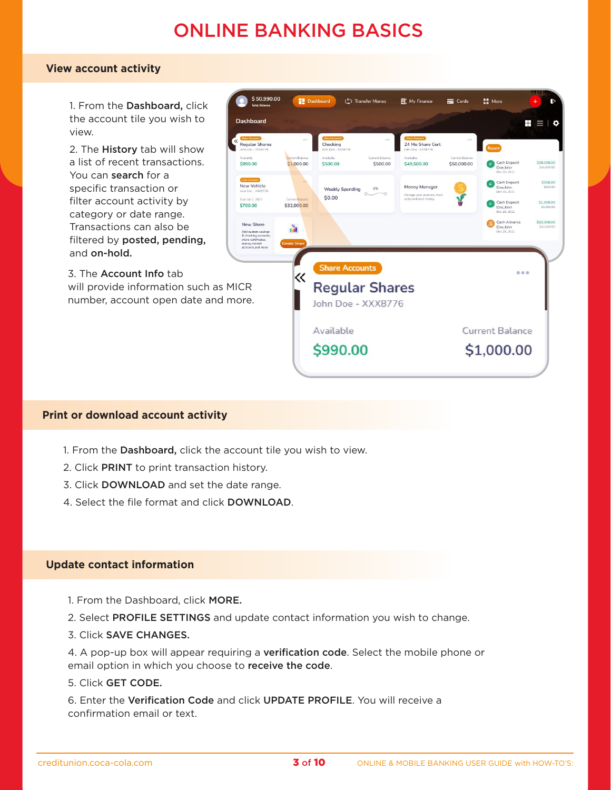# ONLINE BANKING BASICS

### <span id="page-2-0"></span>**View account activity**

1. From the Dashboard, click the account tile you wish to view.

2. The History tab will show a list of recent transactions. You can search for a specific transaction or filter account activity by category or date range. Transactions can also be filtered by posted, pending, and on-hold.

3. The Account Info tab will provide information such as MICR number, account open date and more.



# **Print or download account activity**

- 1. From the Dashboard, click the account tile you wish to view.
- 2. Click PRINT to print transaction history.
- 3. Click DOWNLOAD and set the date range.
- 4. Select the file format and click DOWNLOAD.

### **Update contact information**

- 1. From the Dashboard, click MORE.
- 2. Select PROFILE SETTINGS and update contact information you wish to change.
- 3. Click SAVE CHANGES.

4. A pop-up box will appear requiring a verification code. Select the mobile phone or email option in which you choose to receive the code.

5. Click GET CODE.

6. Enter the Verification Code and click UPDATE PROFILE. You will receive a confirmation email or text.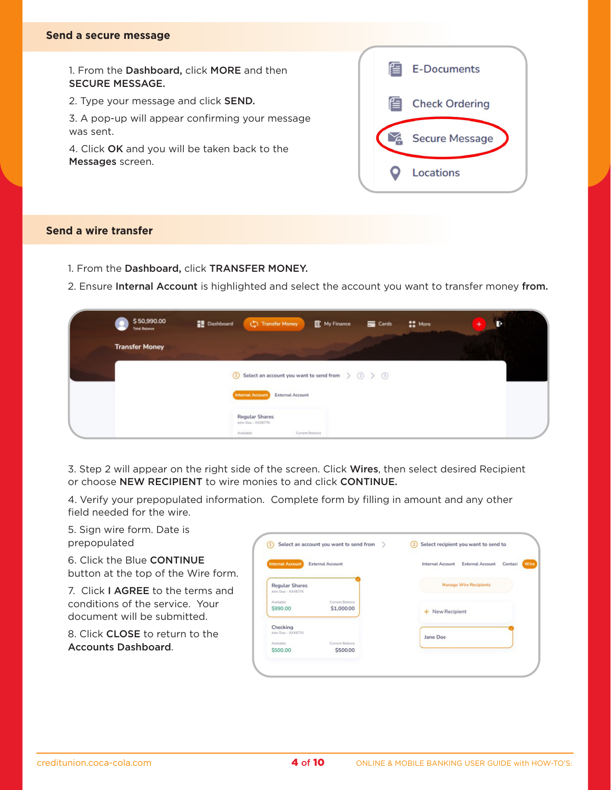#### <span id="page-3-0"></span>**Send a secure message**

1. From the Dashboard, click MORE and then SECURE MESSAGE.

2. Type your message and click SEND.

3. A pop-up will appear confirming your message was sent.

4. Click OK and you will be taken back to the Messages screen.

| 但 | <b>E-Documents</b>    |  |
|---|-----------------------|--|
| 但 | <b>Check Ordering</b> |  |
|   | <b>Secure Message</b> |  |
|   | Locations             |  |

# **Send a wire transfer**

- 1. From the Dashboard, click TRANSFER MONEY.
- 2. Ensure Internal Account is highlighted and select the account you want to transfer money from.

| \$50,990.00<br><b>Total Balance</b> | <b>Dashboard</b><br>Transfer Money<br><b>目</b> My Finance<br><b>COMPA</b> More<br><b>Exp</b> Cards<br>$\ddot{}$<br>в    |
|-------------------------------------|-------------------------------------------------------------------------------------------------------------------------|
| <b>Transfer Money</b>               |                                                                                                                         |
|                                     | $\boxed{1}$ Select an account you want to send from $\left \right\rangle$ $\boxed{2}$ $\left \right\rangle$ $\boxed{3}$ |
|                                     | <b>Internal Account</b><br><b>External Account</b>                                                                      |
|                                     | <b>Regular Shares</b><br>John Doe - XXX8776                                                                             |
|                                     | Current Balance<br>Available                                                                                            |

3. Step 2 will appear on the right side of the screen. Click Wires, then select desired Recipient or choose NEW RECIPIENT to wire monies to and click CONTINUE.

4. Verify your prepopulated information. Complete form by filling in amount and any other field needed for the wire.

5. Sign wire form. Date is prepopulated

6. Click the Blue CONTINUE button at the top of the Wire form.

7. Click I AGREE to the terms and conditions of the service. Your document will be submitted.

8. Click CLOSE to return to the Accounts Dashboard.

| <b>Internal Account</b>                     | <b>External Account</b>       | <b>Internal Account</b> | <b>External Account</b>       | Contact |
|---------------------------------------------|-------------------------------|-------------------------|-------------------------------|---------|
| <b>Regular Shares</b><br>John Doe - XXXB776 |                               |                         | <b>Manage Wire Recipients</b> |         |
| Ausliable<br>\$990.00                       | Current Balance<br>\$1,000.00 | New Recipient<br>÷      |                               |         |
| Checking<br>John Doe - XXXB776              |                               | Jane Doe                |                               |         |
| Auslisble<br>\$500.00                       | Current Balance<br>\$500.00   |                         |                               |         |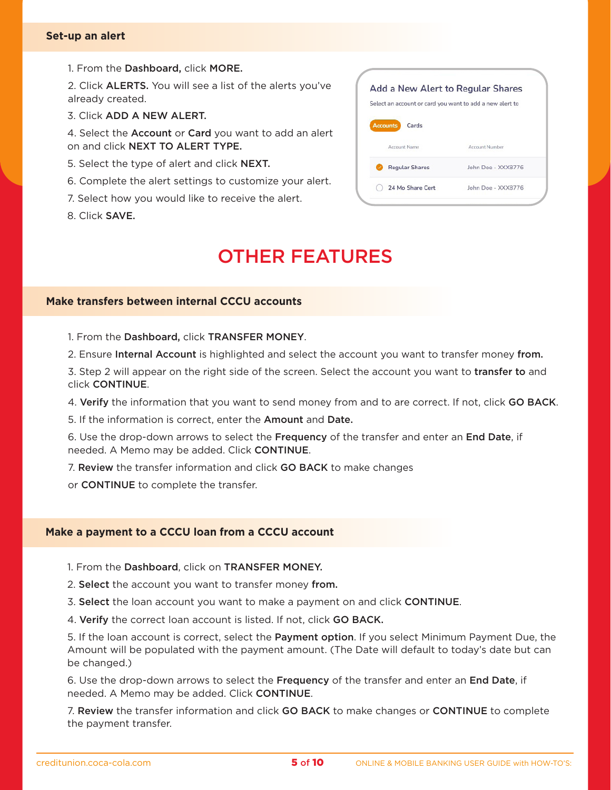#### <span id="page-4-0"></span>**Set-up an alert**

1. From the Dashboard, click MORE.

2. Click ALERTS. You will see a list of the alerts you've already created.

3. Click ADD A NEW ALERT.

4. Select the **Account** or **Card** you want to add an alert on and click NEXT TO ALERT TYPE.

- 5. Select the type of alert and click NEXT.
- 6. Complete the alert settings to customize your alert.
- 7. Select how you would like to receive the alert.
- 8. Click SAVE.



# OTHER FEATURES

# **Make transfers between internal CCCU accounts**

- 1. From the Dashboard, click TRANSFER MONEY.
- 2. Ensure Internal Account is highlighted and select the account you want to transfer money from.

3. Step 2 will appear on the right side of the screen. Select the account you want to transfer to and click CONTINUE.

4. Verify the information that you want to send money from and to are correct. If not, click GO BACK.

5. If the information is correct, enter the Amount and Date.

6. Use the drop-down arrows to select the Frequency of the transfer and enter an End Date, if needed. A Memo may be added. Click CONTINUE.

7. Review the transfer information and click GO BACK to make changes

or CONTINUE to complete the transfer.

#### **Make a payment to a CCCU loan from a CCCU account**

- 1. From the Dashboard, click on TRANSFER MONEY.
- 2. Select the account you want to transfer money from.
- 3. Select the loan account you want to make a payment on and click CONTINUE.
- 4. Verify the correct loan account is listed. If not, click GO BACK.

5. If the loan account is correct, select the Payment option. If you select Minimum Payment Due, the Amount will be populated with the payment amount. (The Date will default to today's date but can be changed.)

6. Use the drop-down arrows to select the Frequency of the transfer and enter an End Date, if needed. A Memo may be added. Click CONTINUE.

7. Review the transfer information and click GO BACK to make changes or CONTINUE to complete the payment transfer.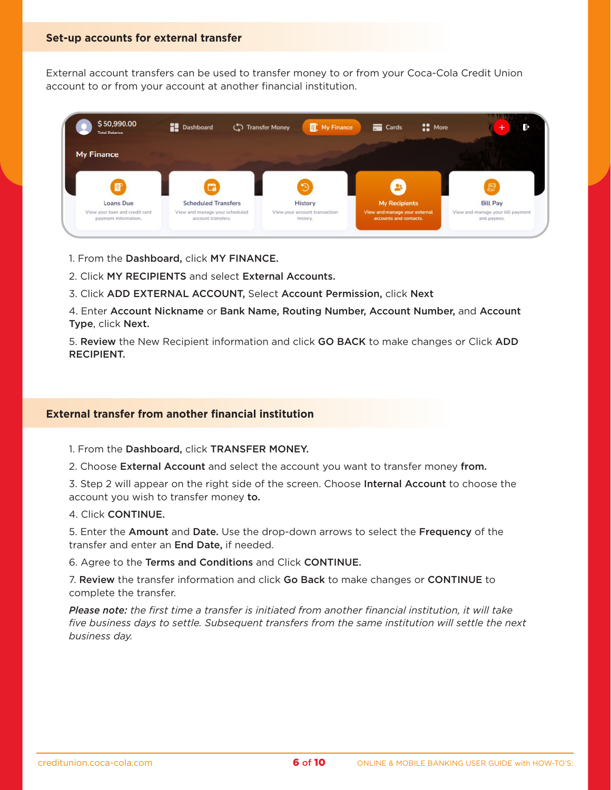<span id="page-5-0"></span>External account transfers can be used to transfer money to or from your Coca-Cola Credit Union account to or from your account at another financial institution.



- 1. From the Dashboard, click MY FINANCE.
- 2. Click MY RECIPIENTS and select External Accounts.
- 3. Click ADD EXTERNAL ACCOUNT, Select Account Permission, click Next

4. Enter Account Nickname or Bank Name, Routing Number, Account Number, and Account Type, click Next.

5. Review the New Recipient information and click GO BACK to make changes or Click ADD RECIPIENT.

### **External transfer from another financial institution**

1. From the Dashboard, click TRANSFER MONEY.

2. Choose External Account and select the account you want to transfer money from.

3. Step 2 will appear on the right side of the screen. Choose Internal Account to choose the account you wish to transfer money to.

4. Click CONTINUE.

5. Enter the Amount and Date. Use the drop-down arrows to select the Frequency of the transfer and enter an **End Date**, if needed.

6. Agree to the Terms and Conditions and Click CONTINUE.

7. Review the transfer information and click Go Back to make changes or CONTINUE to complete the transfer.

*Please note: the first time a transfer is initiated from another financial institution, it will take five business days to settle. Subsequent transfers from the same institution will settle the next business day.*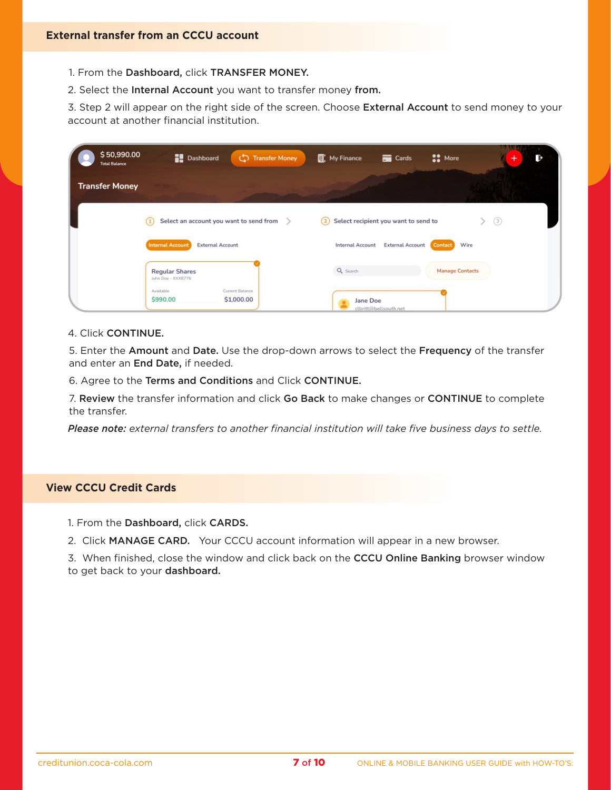- <span id="page-6-0"></span>1. From the Dashboard, click TRANSFER MONEY.
- 2. Select the Internal Account you want to transfer money from.

3. Step 2 will appear on the right side of the screen. Choose External Account to send money to your account at another financial institution.

| \$50,990.00<br><b>Total Balance</b> | <b>Dashboard</b><br><b>Transfer Money</b><br>ග               | <b>CO</b> More<br><b>目:</b> My Finance<br>$\overline{\phantom{a}}$ Cards     | B<br>+ |
|-------------------------------------|--------------------------------------------------------------|------------------------------------------------------------------------------|--------|
| <b>Transfer Money</b>               |                                                              |                                                                              |        |
|                                     | Select an account you want to send from<br>$\left( 1\right)$ | Select recipient you want to send to<br>(3)<br>$\left( 2\right)$<br>≻        |        |
|                                     | <b>Internal Account</b><br><b>External Account</b>           | Wire<br><b>External Account</b><br><b>Internal Account</b><br><b>Contact</b> |        |
|                                     | <b>Regular Shares</b><br>John Doe - XXX8776                  | Q Search<br><b>Manage Contacts</b>                                           |        |
|                                     | Current Balance<br>Available<br>\$990.00<br>\$1,000.00       | Jane Doe<br>clbritt@bellsouth.net                                            |        |

#### 4. Click CONTINUE.

5. Enter the Amount and Date. Use the drop-down arrows to select the Frequency of the transfer and enter an End Date, if needed.

6. Agree to the Terms and Conditions and Click CONTINUE.

7. Review the transfer information and click Go Back to make changes or CONTINUE to complete the transfer.

*Please note: external transfers to another financial institution will take five business days to settle.*

### **View CCCU Credit Cards**

- 1. From the Dashboard, click CARDS.
- 2. Click MANAGE CARD. Your CCCU account information will appear in a new browser.

3. When finished, close the window and click back on the CCCU Online Banking browser window to get back to your dashboard.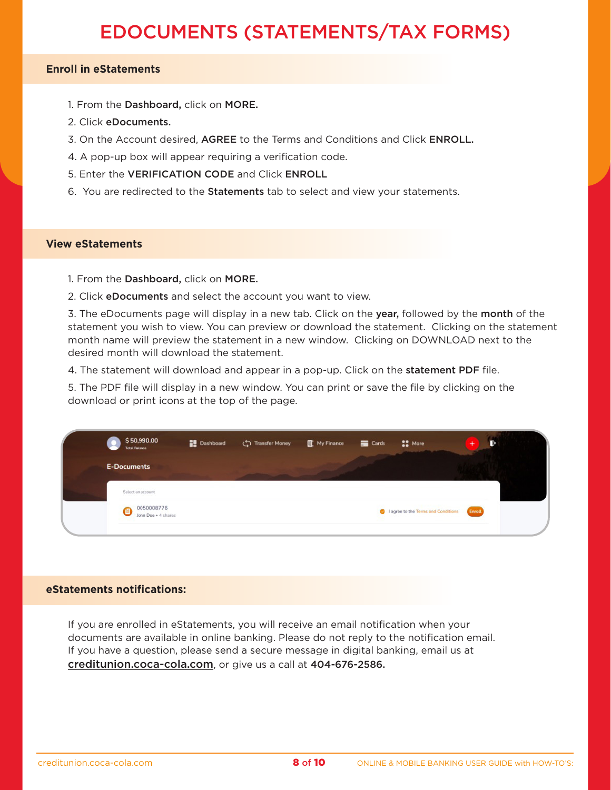# EDOCUMENTS (STATEMENTS/TAX FORMS)

# <span id="page-7-0"></span>**Enroll in eStatements**

- 1. From the Dashboard, click on MORE.
- 2. Click eDocuments.
- 3. On the Account desired, AGREE to the Terms and Conditions and Click ENROLL.
- 4. A pop-up box will appear requiring a verification code.
- 5. Enter the VERIFICATION CODE and Click ENROLL
- 6. You are redirected to the Statements tab to select and view your statements.

#### **View eStatements**

- 1. From the Dashboard, click on MORE.
- 2. Click eDocuments and select the account you want to view.

3. The eDocuments page will display in a new tab. Click on the year, followed by the month of the statement you wish to view. You can preview or download the statement. Clicking on the statement month name will preview the statement in a new window. Clicking on DOWNLOAD next to the desired month will download the statement.

4. The statement will download and appear in a pop-up. Click on the statement PDF file.

5. The PDF file will display in a new window. You can print or save the file by clicking on the download or print icons at the top of the page.

| \$50,990.00<br><b>Total Balance</b> | <b>Dashboard</b> | Transfer Money I My Finance | Cards | $\mathbf{L}$ More                   | ю             |
|-------------------------------------|------------------|-----------------------------|-------|-------------------------------------|---------------|
| <b>E-Documents</b>                  |                  |                             |       |                                     |               |
| Select an account                   |                  |                             |       |                                     |               |
| 0050008776                          |                  |                             |       | I agree to the Terms and Conditions | <b>Enroll</b> |

#### **eStatements notifications:**

If you are enrolled in eStatements, you will receive an email notification when your documents are available in online banking. Please do not reply to the notification email. If you have a question, please send a secure message in digital banking, email us at [creditunion.coca-cola.com](http://creditunion.coca-cola.com), or give us a call at 404-676-2586.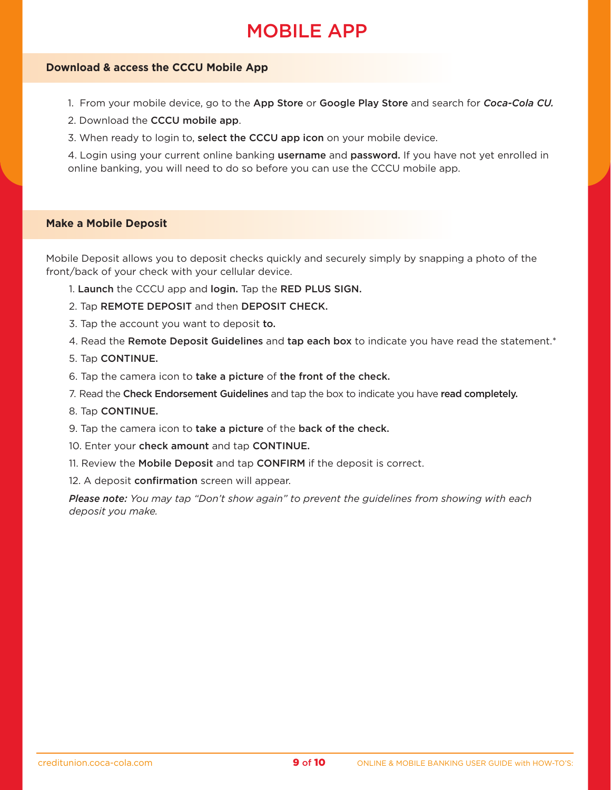# MOBILE APP

### <span id="page-8-0"></span>**Download & access the CCCU Mobile App**

- 1. From your mobile device, go to the App Store or Google Play Store and search for *Coca-Cola CU.*
- 2. Download the CCCU mobile app.
- 3. When ready to login to, select the CCCU app icon on your mobile device.

4. Login using your current online banking username and password. If you have not yet enrolled in online banking, you will need to do so before you can use the CCCU mobile app.

#### **Make a Mobile Deposit**

Mobile Deposit allows you to deposit checks quickly and securely simply by snapping a photo of the front/back of your check with your cellular device.

- 1. Launch the CCCU app and login. Tap the RED PLUS SIGN.
- 2. Tap REMOTE DEPOSIT and then DEPOSIT CHECK.
- 3. Tap the account you want to deposit to.
- 4. Read the Remote Deposit Guidelines and tap each box to indicate you have read the statement.\*
- 5. Tap CONTINUE.
- 6. Tap the camera icon to take a picture of the front of the check.
- 7. Read the Check Endorsement Guidelines and tap the box to indicate you have read completely.
- 8. Tap CONTINUE.
- 9. Tap the camera icon to take a picture of the back of the check.
- 10. Enter your check amount and tap CONTINUE.
- 11. Review the Mobile Deposit and tap CONFIRM if the deposit is correct.

12. A deposit **confirmation** screen will appear.

*Please note: You may tap "Don't show again" to prevent the guidelines from showing with each deposit you make.*